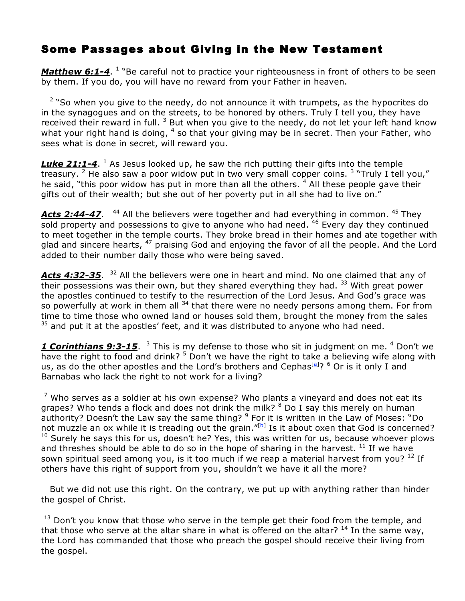## Some Passages about Giving in the New Testament

*Matthew 6:1-4*. <sup>1</sup> "Be careful not to practice your righteousness in front of others to be seen by them. If you do, you will have no reward from your Father in heaven.

 $2$  "So when you give to the needy, do not announce it with trumpets, as the hypocrites do in the synagogues and on the streets, to be honored by others. Truly I tell you, they have received their reward in full.  $3$  But when you give to the needy, do not let your left hand know what your right hand is doing,  $4$  so that your giving may be in secret. Then your Father, who sees what is done in secret, will reward you.

**Luke 21:1-4.** <sup>1</sup> As Jesus looked up, he saw the rich putting their gifts into the temple treasury. <sup>2</sup> He also saw a poor widow put in two very small copper coins. <sup>3</sup> "Truly I tell you," he said, "this poor widow has put in more than all the others.  $4$  All these people gave their gifts out of their wealth; but she out of her poverty put in all she had to live on."

Acts 2:44-47. <sup>44</sup> All the believers were together and had everything in common. <sup>45</sup> They  $\overline{\phantom{a}}$  sold property and possessions to give to anyone who had need.  $46$  Every day they continued to meet together in the temple courts. They broke bread in their homes and ate together with glad and sincere hearts,  $47$  praising God and enjoying the favor of all the people. And the Lord added to their number daily those who were being saved.

Acts 4:32-35.<sup>32</sup> All the believers were one in heart and mind. No one claimed that any of their possessions was their own, but they shared everything they had.  $33$  With great power the apostles continued to testify to the resurrection of the Lord Jesus. And God's grace was so powerfully at work in them all <sup>34</sup> that there were no needy persons among them. For from time to time those who owned land or houses sold them, brought the money from the sales  $35$  and put it at the apostles' feet, and it was distributed to anyone who had need.

**1 Corinthians 9:3-15**. <sup>3</sup> This is my defense to those who sit in judgment on me. <sup>4</sup> Don't we have the right to food and drink?  $5$  Don't we have the right to take a believing wife along with us, as do the other apostles and the Lord's brothers and Cephas<sup>[a]</sup>? <sup>6</sup> Or is it only I and Barnabas who lack the right to not work for a living?

 $7$  Who serves as a soldier at his own expense? Who plants a vineyard and does not eat its grapes? Who tends a flock and does not drink the milk?  $8$  Do I say this merely on human authority? Doesn't the Law say the same thing? <sup>9</sup> For it is written in the Law of Moses: "Do not muzzle an ox while it is treading out the grain."[b] Is it about oxen that God is concerned?  $10$  Surely he says this for us, doesn't he? Yes, this was written for us, because whoever plows and threshes should be able to do so in the hope of sharing in the harvest.  $^{11}$  If we have sown spiritual seed among you, is it too much if we reap a material harvest from you?  $^{12}$  If others have this right of support from you, shouldn't we have it all the more?

But we did not use this right. On the contrary, we put up with anything rather than hinder the gospel of Christ.

 $13$  Don't you know that those who serve in the temple get their food from the temple, and that those who serve at the altar share in what is offered on the altar?  $^{14}$  In the same way, the Lord has commanded that those who preach the gospel should receive their living from the gospel.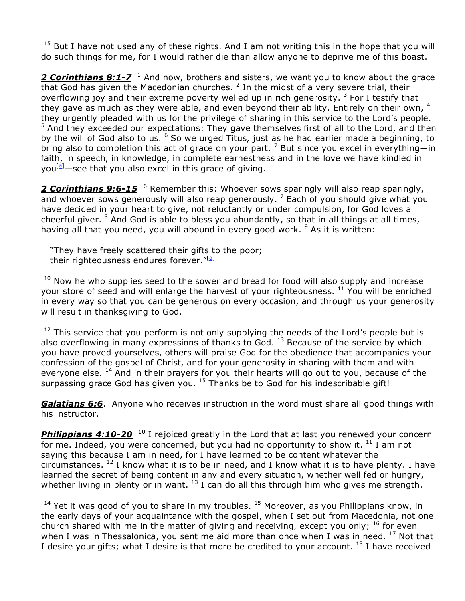$15$  But I have not used any of these rights. And I am not writing this in the hope that you will do such things for me, for I would rather die than allow anyone to deprive me of this boast.

2 **Corinthians 8:1-7** <sup>1</sup> And now, brothers and sisters, we want you to know about the grace that God has given the Macedonian churches.  $<sup>2</sup>$  In the midst of a very severe trial, their</sup> overflowing joy and their extreme poverty welled up in rich generosity.  $3$  For I testify that they gave as much as they were able, and even beyond their ability. Entirely on their own, 4 they urgently pleaded with us for the privilege of sharing in this service to the Lord's people. <sup>5</sup> And they exceeded our expectations: They gave themselves first of all to the Lord, and then by the will of God also to us. <sup>6</sup> So we urged Titus, just as he had earlier made a beginning, to bring also to completion this act of grace on your part.<sup>7</sup> But since you excel in everything—in faith, in speech, in knowledge, in complete earnestness and in the love we have kindled in you<sup>[a]</sup>—see that you also excel in this grace of giving.

*2 Corinthians 9:6-15* <sup>6</sup> Remember this: Whoever sows sparingly will also reap sparingly, and whoever sows generously will also reap generously.  $\frac{1}{2}$  Each of you should give what you have decided in your heart to give, not reluctantly or under compulsion, for God loves a cheerful giver.  $8$  And God is able to bless you abundantly, so that in all things at all times, having all that you need, you will abound in every good work.  $9$  As it is written:

"They have freely scattered their gifts to the poor; their righteousness endures forever."<sup>[<u>a</u>]</sup>

 $10$  Now he who supplies seed to the sower and bread for food will also supply and increase your store of seed and will enlarge the harvest of your righteousness.  $^{11}$  You will be enriched in every way so that you can be generous on every occasion, and through us your generosity will result in thanksgiving to God.

 $12$  This service that you perform is not only supplying the needs of the Lord's people but is also overflowing in many expressions of thanks to God.  $^{13}$  Because of the service by which you have proved yourselves, others will praise God for the obedience that accompanies your confession of the gospel of Christ, and for your generosity in sharing with them and with everyone else. <sup>14</sup> And in their prayers for you their hearts will go out to you, because of the surpassing grace God has given you. <sup>15</sup> Thanks be to God for his indescribable gift!

*Galatians 6:6*. Anyone who receives instruction in the word must share all good things with his instructor.

**Philippians 4:10-20**<sup>10</sup> I rejoiced greatly in the Lord that at last you renewed your concern for me. Indeed, you were concerned, but you had no opportunity to show it.  $^{11}$  I am not saying this because I am in need, for I have learned to be content whatever the circumstances.  $^{12}$  I know what it is to be in need, and I know what it is to have plenty. I have learned the secret of being content in any and every situation, whether well fed or hungry, whether living in plenty or in want.  $^{13}$  I can do all this through him who gives me strength.

 $14$  Yet it was good of you to share in my troubles.  $15$  Moreover, as you Philippians know, in the early days of your acquaintance with the gospel, when I set out from Macedonia, not one church shared with me in the matter of giving and receiving, except you only;  $^{16}$  for even when I was in Thessalonica, you sent me aid more than once when I was in need.  $^{17}$  Not that I desire your gifts; what I desire is that more be credited to your account.  $^{18}$  I have received